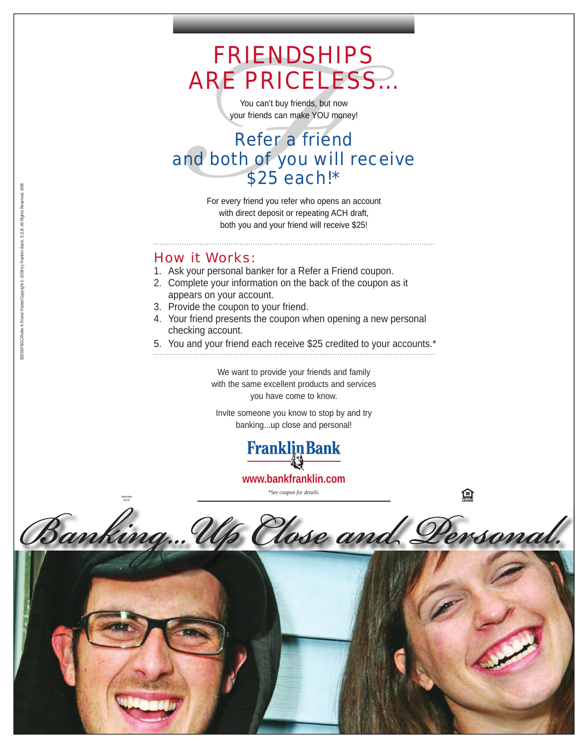# FRIENDSHIPS ARE PRICELESS…

You can't buy friends, but now your friends can make YOU money!

# **FRIENDSH**<br>
You can't buy friends, bu<br>
your friends can make YOU<br> **Refer a friend both of you w**<br>
\$25 each<br>
For every friend you refer who oper<br>
with direct deposit or repeating<br>
both you and your friend will re<br> **v** it Wo Refer a friend and both of you will receive \$25 each!\*

For every friend you refer who opens an account with direct deposit or repeating ACH draft, both you and your friend will receive \$25!

#### How it Works:

Member FDIC

- 1. Ask your personal banker for a Refer a Friend coupon.
- 2. Complete your information on the back of the coupon as it appears on your account.
- 3. Provide the coupon to your friend.
- 4. Your friend presents the coupon when opening a new personal checking account.
- 5. You and your friend each receive \$25 credited to your accounts.\*

We want to provide your friends and family with the same excellent products and services you have come to know.

Invite someone you know to stop by and try banking...up close and personal!



**www.bankfranklin.com**

*\*See coupon for details.*

Banking... V Hose and Personal.



30055/FBGC/Refer A Friend Poster/Copyright © 2008 by Franklin Bank, S.S.B. All Rights Reserved. 6/08 00055/FBGC/Refer A Friend Poster/Copyright @ 2008 by Franklin Bank, S.S.B. All Rights Reserved. 6/06

盒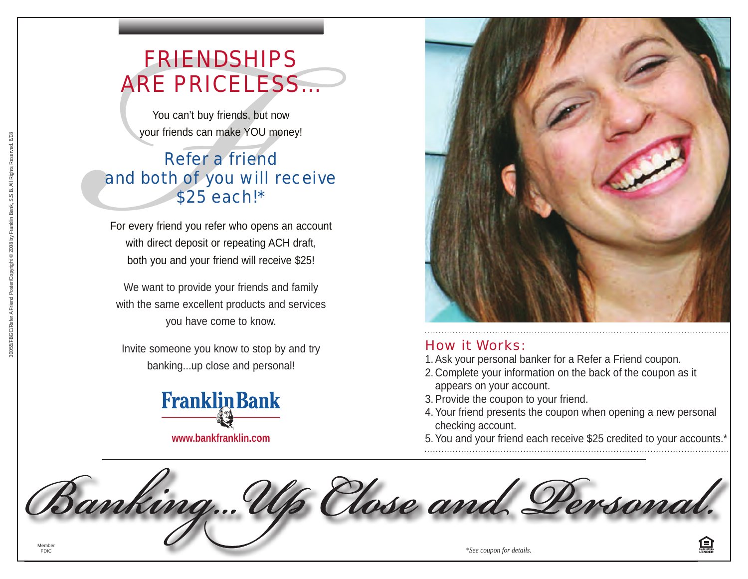# FRIENDSHIPS ARE PRICELESS…

You can't buy friends, but now your friends can make YOU money!

# **FRIENDSH**<br>You can't buy friends, bu<br>your friends can make YOU<br>**Refer a friends**<br>**Refer a friend both of you wi**<br>\$25 each!<br>For every friend you refer who op<br>with direct deposit or repeating<br>both you and your friend will r<br> Refer a friend and both of you will receive \$25 each!\*

For every friend you refer who opens an account with direct deposit or repeating ACH draft, both you and your friend will receive \$25!

We want to provide your friends and family with the same excellent products and services you have come to know.

Invite someone you know to stop by and try banking...up close and personal!





#### How it Works:

- 1. Ask your personal banker for a Refer a Friend coupon.
- 2. Complete your information on the back of the coupon as it appears on your account.
- 3. Provide the coupon to your friend.
- 4. Your friend presents the coupon when opening a new personal checking account.
- 5. You and your friend each receive \$25 credited to your accounts.\*

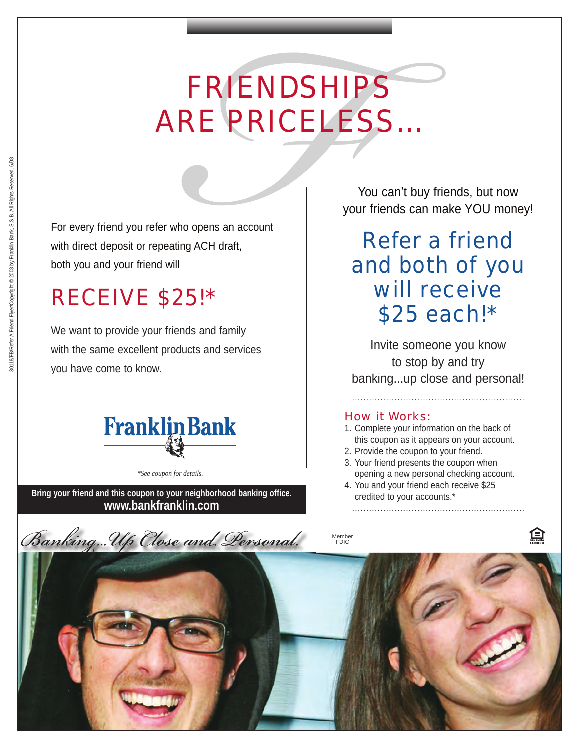# FRIENDSHIP<br>
RE PRICELE<br>
<sup>tho opens an account<br>
ting ACH draft,<br>
<br>
25!\*<br>
ends and family<br>
ducts and services</sup> FRIENDSHIPS ARE PRICELESS…

For every friend you refer who opens an account with direct deposit or repeating ACH draft, both you and your friend will

# RECEIVE \$25!\*

We want to provide your friends and family with the same excellent products and services you have come to know.



*\*See coupon for details.*

Bring your friend and this coupon to your neighborhood banking office.<br> **Bring your friend and this coupon to your neighborhood banking office. www.bankfranklin.com**

You can't buy friends, but now your friends can make YOU money!

# Refer a friend and both of you will receive \$25 each!\*

Invite someone you know to stop by and try banking...up close and personal!

#### How it Works:

- 1. Complete your information on the back of this coupon as it appears on your account.
- 2. Provide the coupon to your friend.
- 3. Your friend presents the coupon when opening a new personal checking account.
- 4. You and your friend each receive \$25

Banking...Up Close and Dersonal. Member FDIC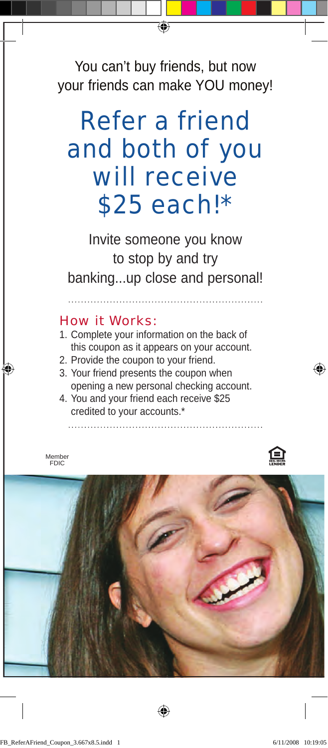You can't buy friends, but now your friends can make YOU money!

# Refer a friend and both of you will receive \$25 each!\*

Invite someone you know to stop by and try banking...up close and personal!

#### How it Works:

- 1. Complete your information on the back of this coupon as it appears on your account.
- 2. Provide the coupon to your friend.
- 3. Your friend presents the coupon when opening a new personal checking account.
- 4. You and your friend each receive \$25 credited to your accounts.\*

Member FDIC



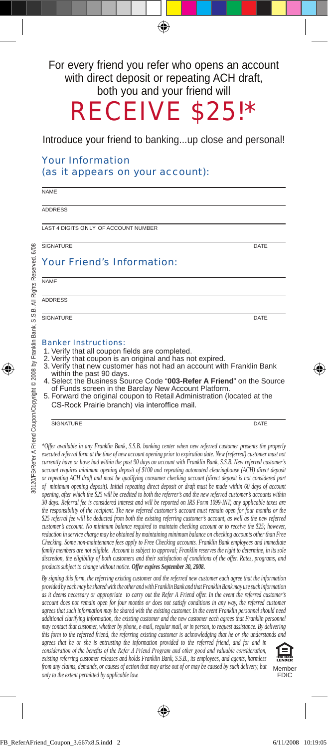#### For every friend you refer who opens an account with direct deposit or repeating ACH draft, both you and your friend will

Receive \$25!\*

#### Introduce your friend to banking...up close and personal!

#### Your Information (as it appears on your account):

**NAME** 

Address

Last 4 digits Only of account Number

SIGNATURE DATE DATE AND A SERIES OF THE SERIES OF THE USE OF THE USE OF THE USE OF THE USE OF THE USE OF THE U

6/08

#### Your Friend's Information:

Name

**ADDRESS** 

SIGNATURE DATE

#### Banker Instructions:

- 1. Verify that all coupon fields are completed.<br>2. Verify that coupon is an original and has no
- 2. Verify that coupon is an original and has not expired.
- 3. Verify that new customer has not had an account with Franklin Bank
- within the past 90 days. 4. Select the Business Source Code "**003-Refer A Friend**" on the Source of Funds screen in the Barclay New Account Platform.
- 5. Forward the original coupon to Retail Administration (located at the CS-Rock Prairie branch) via interoffice mail.

#### SIGNATURE DATE

*\*Offer available in any Franklin Bank, S.S.B. banking center when new referred customer presents the properly executed referral form at the time of new account opening prior to expiration date. New (referred) customer must not currently have or have had within the past 90 days an account with Franklin Bank, S.S.B. New referred customer's account requires minimum opening deposit of \$100 and repeating automated clearinghouse (ACH) direct deposit or repeating ACH draft and must be qualifying consumer checking account (direct deposit is not considered part of minimum opening deposit). Initial repeating direct deposit or draft must be made within 60 days of account opening, after which the \$25 will be credited to both the referrer's and the new referred customer's accounts within 30 days. Referral fee is considered interest and will be reported on IRS Form 1099-INT; any applicable taxes are the responsibility of the recipient. The new referred customer's account must remain open for four months or the \$25 referral fee will be deducted from both the existing referring customer's account, as well as the new referred customer's account. No minimum balance required to maintain checking account or to receive the \$25; however, reduction in service charge may be obtained by maintaining minimum balance on checking accounts other than Free Checking. Some non-maintenance fees apply to Free Checking accounts. Franklin Bank employees and immediate family members are not eligible. Account is subject to approval; Franklin reserves the right to determine, in its sole discretion, the eligibility of both customers and their satisfaction of conditions of the offer. Rates, programs, and products subject to change without notice. Offer expires September 30, 2008.* 

*By signing this form, the referring existing customer and the referred new customer each agree that the information provided by each may be shared with the other and with Franklin Bank and that Franklin Bank may use such information as it deems necessary or appropriate to carry out the Refer A Friend offer. In the event the referred customer's account does not remain open for four months or does not satisfy conditions in any way, the referred customer agrees that such information may be shared with the existing customer. In the event Franklin personnel should need additional clarifying information, the existing customer and the new customer each agrees that Franklin personnel may contact that customer, whether by phone, e-mail, regular mail, or in person, to request assistance. By delivering this form to the referred friend, the referring existing customer is acknowledging that he or she understands and agrees that he or she is entrusting the information provided to the referred friend, and for and in* 

*consideration of the benefits of the Refer A Friend Program and other good and valuable consideration, existing referring customer releases and holds Franklin Bank, S.S.B., its employees, and agents, harmless from any claims, demands, or causes of action that may arise out of or may be caused by such delivery, but only to the extent permitted by applicable law.* Member

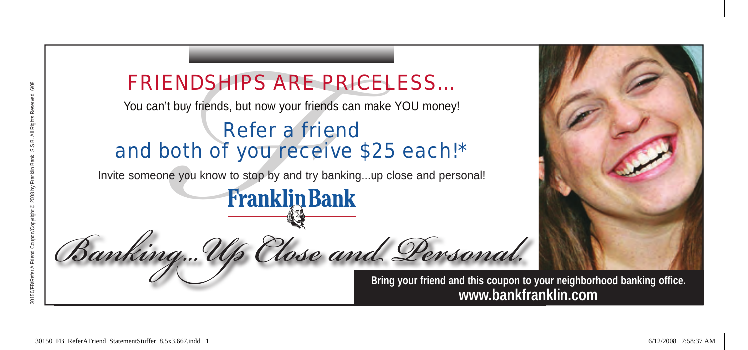### FRieNDSHiPS ARe PRiceLeSS…

You can't buy friends, but now your friends can make YOU money!

#### Refer a friend and both of you receive \$25 each!\*

Invite someone you know to stop by and try banking...up close and personal!



**Bring your friend and this coupon to your neighborhood banking office. www.bankfranklin.com**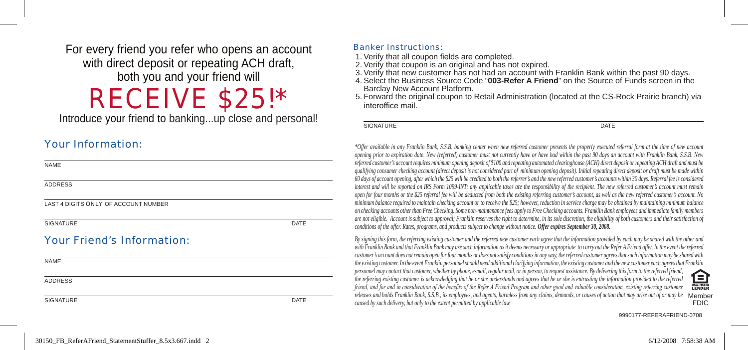For every friend you refer who opens an account with direct deposit or repeating ACH draft, both you and your friend will

## Receive \$25!\*

Introduce your friend to banking...up close and personal!

#### Your Information:

| <b>NAME</b>                          |      |
|--------------------------------------|------|
| <b>ADDRESS</b>                       |      |
| LAST 4 DIGITS ONLY OF ACCOUNT NUMBER |      |
| <b>SIGNATURE</b>                     | DATE |
| <b>Your Friend's Information:</b>    |      |
| <b>NAME</b>                          |      |
| <b>ADDRESS</b>                       |      |
| <b>SIGNATURE</b>                     | DATE |

#### Banker Instructions:

- 1. Verify that all coupon fields are completed.
- 2. Verify that coupon is an original and has not expired.
- 
- 3. Verify that new customer has not had an account with Franklin Bank within the past 90 days. 4. Select the Business Source Code "**003-Refer A Friend**" on the Source of Funds screen in the Barclay New Account Platform.
- 5. Forward the original coupon to Retail Administration (located at the CS-Rock Prairie branch) via interoffice mail.

SIGNATURE DATE DATE OF A SERVICE OF A SERVICE OF A SERVICE OF A SERVICE OF A SERVICE OF A SERVICE OF A SERVICE

*\*Offer available in any Franklin Bank, S.S.B. banking center when new referred customer presents the properly executed referral form at the time of new account opening prior to expiration date. New (referred) customer must not currently have or have had within the past 90 days an account with Franklin Bank, S.S.B. New referred customer's account requires minimum opening deposit of \$100 and repeating automated clearinghouse (ACH) direct deposit or repeating ACH draft and must be qualifying consumer checking account (direct deposit is not considered part of minimum opening deposit). Initial repeating direct deposit or draft must be made within 60 days of account opening, after which the \$25 will be credited to both the referrer's and the new referred customer's accounts within 30 days. Referral fee is considered interest and will be reported on IRS Form 1099-INT; any applicable taxes are the responsibility of the recipient. The new referred customer's account must remain open for four months or the \$25 referral fee will be deducted from both the existing referring customer's account, as well as the new referred customer's account. No minimum balance required to maintain checking account or to receive the \$25; however, reduction in service charge may be obtained by maintaining minimum balance on checking accounts other than Free Checking. Some non-maintenance fees apply to Free Checking accounts. Franklin Bank employees and immediate family members are not eligible. Account is subject to approval; Franklin reserves the right to determine, in its sole discretion, the eligibility of both customers and their satisfaction of conditions of the offer. Rates, programs, and products subject to change without notice. Offer expires September 30, 2008.* 

*By signing this form, the referring existing customer and the referred new customer each agree that the information provided by each may be shared with the other and*  with Franklin Bank and that Franklin Bank may use such information as it deems necessary or appropriate to carry out the Refer A Friend offer. In the event the referred *customer's account does not remain open for four months or does not satisfy conditions in any way, the referred customer agrees that such information may be shared with the existing customer. In the event Franklin personnel should need additional clarifying information, the existing customer and the new customer each agrees that Franklin personnel may contact that customer, whether by phone, e-mail, regular mail, or in person, to request assistance. By delivering this form to the referred friend,*   $\mathbf{E}$ *the referring existing customer is acknowledging that he or she understands and agrees that he or she is entrusting the information provided to the referred friend, and for and in consideration of the benefits of the Refer A Friend Program and other good and valuable consideration, existing referring customer* releases and holds Franklin Bank, S.S.B., its employees, and agents, harmless from any claims, demands, or causes of action that may arise out of or may be Member<br>FDIC FDIC